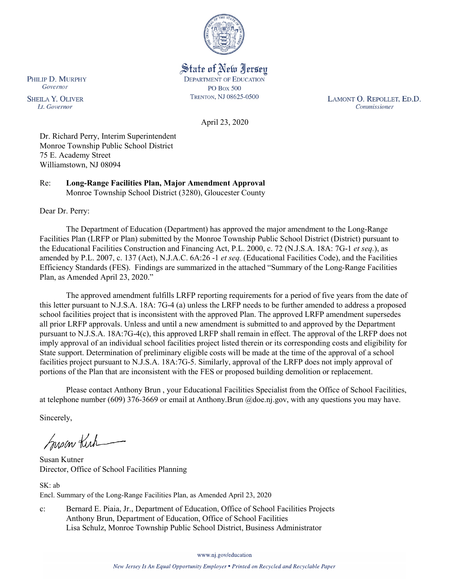

State of New Jersey **DEPARTMENT OF EDUCATION PO Box 500** TRENTON, NJ 08625-0500

LAMONT O. REPOLLET, ED.D. Commissioner

April 23, 2020

Dr. Richard Perry, Interim Superintendent Monroe Township Public School District 75 E. Academy Street Williamstown, NJ 08094

Re: **Long-Range Facilities Plan, Major Amendment Approval** Monroe Township School District (3280), Gloucester County

Dear Dr. Perry:

The Department of Education (Department) has approved the major amendment to the Long-Range Facilities Plan (LRFP or Plan) submitted by the Monroe Township Public School District (District) pursuant to the Educational Facilities Construction and Financing Act, P.L. 2000, c. 72 (N.J.S.A. 18A: 7G-1 *et seq.*), as amended by P.L. 2007, c. 137 (Act), N.J.A.C. 6A:26 -1 *et seq.* (Educational Facilities Code), and the Facilities Efficiency Standards (FES). Findings are summarized in the attached "Summary of the Long-Range Facilities Plan, as Amended April 23, 2020."

The approved amendment fulfills LRFP reporting requirements for a period of five years from the date of this letter pursuant to N.J.S.A. 18A: 7G-4 (a) unless the LRFP needs to be further amended to address a proposed school facilities project that is inconsistent with the approved Plan. The approved LRFP amendment supersedes all prior LRFP approvals. Unless and until a new amendment is submitted to and approved by the Department pursuant to N.J.S.A. 18A:7G-4(c), this approved LRFP shall remain in effect. The approval of the LRFP does not imply approval of an individual school facilities project listed therein or its corresponding costs and eligibility for State support. Determination of preliminary eligible costs will be made at the time of the approval of a school facilities project pursuant to N.J.S.A. 18A:7G-5. Similarly, approval of the LRFP does not imply approval of portions of the Plan that are inconsistent with the FES or proposed building demolition or replacement.

Please contact Anthony Brun , your Educational Facilities Specialist from the Office of School Facilities, at telephone number (609) 376-3669 or email at Anthony.Brun @doe.nj.gov, with any questions you may have.

Sincerely,

Susan Kich

Susan Kutner Director, Office of School Facilities Planning

SK: ab Encl. Summary of the Long-Range Facilities Plan, as Amended April 23, 2020

c: Bernard E. Piaia, Jr., Department of Education, Office of School Facilities Projects Anthony Brun, Department of Education, Office of School Facilities Lisa Schulz, Monroe Township Public School District, Business Administrator

www.nj.gov/education

PHILIP D. MURPHY Governor

**SHEILA Y. OLIVER** Lt. Governor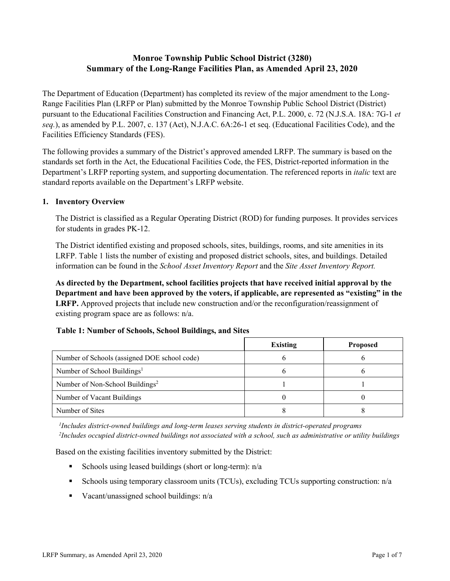# **Monroe Township Public School District (3280) Summary of the Long-Range Facilities Plan, as Amended April 23, 2020**

The Department of Education (Department) has completed its review of the major amendment to the Long-Range Facilities Plan (LRFP or Plan) submitted by the Monroe Township Public School District (District) pursuant to the Educational Facilities Construction and Financing Act, P.L. 2000, c. 72 (N.J.S.A. 18A: 7G-1 *et seq.*), as amended by P.L. 2007, c. 137 (Act), N.J.A.C. 6A:26-1 et seq. (Educational Facilities Code), and the Facilities Efficiency Standards (FES).

The following provides a summary of the District's approved amended LRFP. The summary is based on the standards set forth in the Act, the Educational Facilities Code, the FES, District-reported information in the Department's LRFP reporting system, and supporting documentation. The referenced reports in *italic* text are standard reports available on the Department's LRFP website.

### **1. Inventory Overview**

The District is classified as a Regular Operating District (ROD) for funding purposes. It provides services for students in grades PK-12.

The District identified existing and proposed schools, sites, buildings, rooms, and site amenities in its LRFP. Table 1 lists the number of existing and proposed district schools, sites, and buildings. Detailed information can be found in the *School Asset Inventory Report* and the *Site Asset Inventory Report.*

**As directed by the Department, school facilities projects that have received initial approval by the Department and have been approved by the voters, if applicable, are represented as "existing" in the LRFP.** Approved projects that include new construction and/or the reconfiguration/reassignment of existing program space are as follows: n/a.

### **Table 1: Number of Schools, School Buildings, and Sites**

|                                              | <b>Existing</b> | <b>Proposed</b> |
|----------------------------------------------|-----------------|-----------------|
| Number of Schools (assigned DOE school code) |                 |                 |
| Number of School Buildings <sup>1</sup>      |                 |                 |
| Number of Non-School Buildings <sup>2</sup>  |                 |                 |
| Number of Vacant Buildings                   |                 |                 |
| Number of Sites                              |                 |                 |

*1 Includes district-owned buildings and long-term leases serving students in district-operated programs 2 Includes occupied district-owned buildings not associated with a school, such as administrative or utility buildings*

Based on the existing facilities inventory submitted by the District:

- Schools using leased buildings (short or long-term):  $n/a$
- Schools using temporary classroom units (TCUs), excluding TCUs supporting construction: n/a
- Vacant/unassigned school buildings:  $n/a$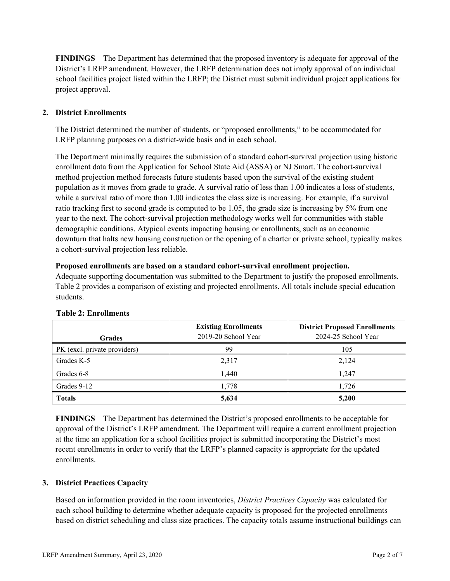**FINDINGS** The Department has determined that the proposed inventory is adequate for approval of the District's LRFP amendment. However, the LRFP determination does not imply approval of an individual school facilities project listed within the LRFP; the District must submit individual project applications for project approval.

# **2. District Enrollments**

The District determined the number of students, or "proposed enrollments," to be accommodated for LRFP planning purposes on a district-wide basis and in each school.

The Department minimally requires the submission of a standard cohort-survival projection using historic enrollment data from the Application for School State Aid (ASSA) or NJ Smart. The cohort-survival method projection method forecasts future students based upon the survival of the existing student population as it moves from grade to grade. A survival ratio of less than 1.00 indicates a loss of students, while a survival ratio of more than 1.00 indicates the class size is increasing. For example, if a survival ratio tracking first to second grade is computed to be 1.05, the grade size is increasing by 5% from one year to the next. The cohort-survival projection methodology works well for communities with stable demographic conditions. Atypical events impacting housing or enrollments, such as an economic downturn that halts new housing construction or the opening of a charter or private school, typically makes a cohort-survival projection less reliable.

### **Proposed enrollments are based on a standard cohort-survival enrollment projection.**

Adequate supporting documentation was submitted to the Department to justify the proposed enrollments. Table 2 provides a comparison of existing and projected enrollments. All totals include special education students.

|                              | <b>Existing Enrollments</b><br>2019-20 School Year | <b>District Proposed Enrollments</b><br>2024-25 School Year |
|------------------------------|----------------------------------------------------|-------------------------------------------------------------|
| <b>Grades</b>                |                                                    |                                                             |
| PK (excl. private providers) | 99                                                 | 105                                                         |
| Grades K-5                   | 2,317                                              | 2,124                                                       |
| Grades 6-8                   | 1,440                                              | 1.247                                                       |
| Grades 9-12                  | 1,778                                              | 1.726                                                       |
| <b>Totals</b>                | 5,634                                              | 5,200                                                       |

### **Table 2: Enrollments**

**FINDINGS** The Department has determined the District's proposed enrollments to be acceptable for approval of the District's LRFP amendment. The Department will require a current enrollment projection at the time an application for a school facilities project is submitted incorporating the District's most recent enrollments in order to verify that the LRFP's planned capacity is appropriate for the updated enrollments.

# **3. District Practices Capacity**

Based on information provided in the room inventories, *District Practices Capacity* was calculated for each school building to determine whether adequate capacity is proposed for the projected enrollments based on district scheduling and class size practices. The capacity totals assume instructional buildings can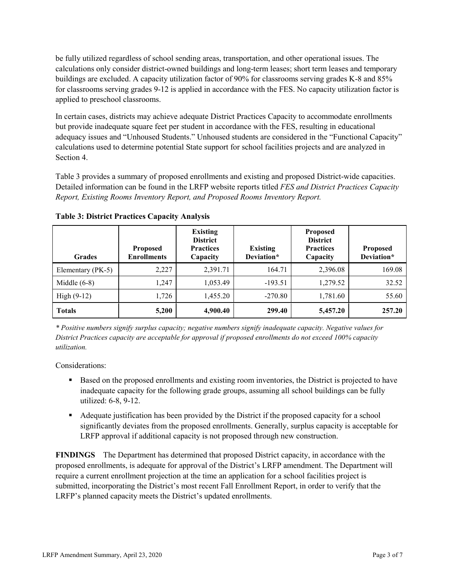be fully utilized regardless of school sending areas, transportation, and other operational issues. The calculations only consider district-owned buildings and long-term leases; short term leases and temporary buildings are excluded. A capacity utilization factor of 90% for classrooms serving grades K-8 and 85% for classrooms serving grades 9-12 is applied in accordance with the FES. No capacity utilization factor is applied to preschool classrooms.

In certain cases, districts may achieve adequate District Practices Capacity to accommodate enrollments but provide inadequate square feet per student in accordance with the FES, resulting in educational adequacy issues and "Unhoused Students." Unhoused students are considered in the "Functional Capacity" calculations used to determine potential State support for school facilities projects and are analyzed in Section 4.

Table 3 provides a summary of proposed enrollments and existing and proposed District-wide capacities. Detailed information can be found in the LRFP website reports titled *FES and District Practices Capacity Report, Existing Rooms Inventory Report, and Proposed Rooms Inventory Report.*

| <b>Grades</b>     | <b>Proposed</b><br><b>Enrollments</b> | <b>Existing</b><br><b>District</b><br><b>Practices</b><br>Capacity | <b>Existing</b><br>Deviation* | <b>Proposed</b><br><b>District</b><br><b>Practices</b><br>Capacity | <b>Proposed</b><br>Deviation* |
|-------------------|---------------------------------------|--------------------------------------------------------------------|-------------------------------|--------------------------------------------------------------------|-------------------------------|
| Elementary (PK-5) | 2,227                                 | 2,391.71                                                           | 164.71                        | 2,396.08                                                           | 169.08                        |
| Middle $(6-8)$    | 1.247                                 | 1,053.49                                                           | $-193.51$                     | 1,279.52                                                           | 32.52                         |
| High $(9-12)$     | 1,726                                 | 1,455.20                                                           | $-270.80$                     | 1,781.60                                                           | 55.60                         |
| <b>Totals</b>     | 5,200                                 | 4,900.40                                                           | 299.40                        | 5,457.20                                                           | 257.20                        |

**Table 3: District Practices Capacity Analysis**

*\* Positive numbers signify surplus capacity; negative numbers signify inadequate capacity. Negative values for District Practices capacity are acceptable for approval if proposed enrollments do not exceed 100% capacity utilization.*

Considerations:

- **Based on the proposed enrollments and existing room inventories, the District is projected to have** inadequate capacity for the following grade groups, assuming all school buildings can be fully utilized: 6-8, 9-12.
- Adequate justification has been provided by the District if the proposed capacity for a school significantly deviates from the proposed enrollments. Generally, surplus capacity is acceptable for LRFP approval if additional capacity is not proposed through new construction.

**FINDINGS**The Department has determined that proposed District capacity, in accordance with the proposed enrollments, is adequate for approval of the District's LRFP amendment. The Department will require a current enrollment projection at the time an application for a school facilities project is submitted, incorporating the District's most recent Fall Enrollment Report, in order to verify that the LRFP's planned capacity meets the District's updated enrollments.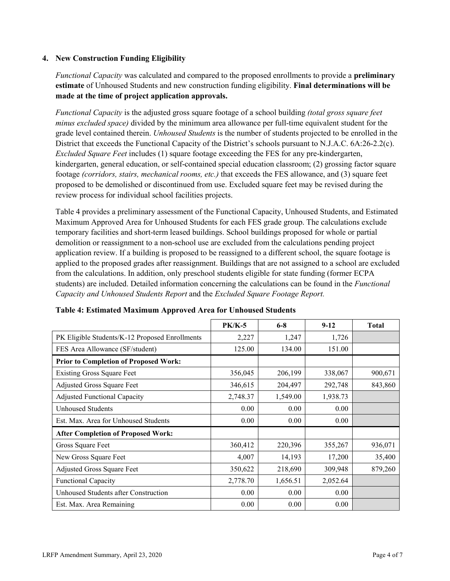### **4. New Construction Funding Eligibility**

*Functional Capacity* was calculated and compared to the proposed enrollments to provide a **preliminary estimate** of Unhoused Students and new construction funding eligibility. **Final determinations will be made at the time of project application approvals.**

*Functional Capacity* is the adjusted gross square footage of a school building *(total gross square feet minus excluded space)* divided by the minimum area allowance per full-time equivalent student for the grade level contained therein. *Unhoused Students* is the number of students projected to be enrolled in the District that exceeds the Functional Capacity of the District's schools pursuant to N.J.A.C. 6A:26-2.2(c). *Excluded Square Feet* includes (1) square footage exceeding the FES for any pre-kindergarten, kindergarten, general education, or self-contained special education classroom; (2) grossing factor square footage *(corridors, stairs, mechanical rooms, etc.)* that exceeds the FES allowance, and (3) square feet proposed to be demolished or discontinued from use. Excluded square feet may be revised during the review process for individual school facilities projects.

Table 4 provides a preliminary assessment of the Functional Capacity, Unhoused Students, and Estimated Maximum Approved Area for Unhoused Students for each FES grade group. The calculations exclude temporary facilities and short-term leased buildings. School buildings proposed for whole or partial demolition or reassignment to a non-school use are excluded from the calculations pending project application review. If a building is proposed to be reassigned to a different school, the square footage is applied to the proposed grades after reassignment. Buildings that are not assigned to a school are excluded from the calculations. In addition, only preschool students eligible for state funding (former ECPA students) are included. Detailed information concerning the calculations can be found in the *Functional Capacity and Unhoused Students Report* and the *Excluded Square Footage Report.*

|                                                | $PK/K-5$ | $6 - 8$  | $9 - 12$ | <b>Total</b> |
|------------------------------------------------|----------|----------|----------|--------------|
| PK Eligible Students/K-12 Proposed Enrollments | 2,227    | 1,247    | 1,726    |              |
| FES Area Allowance (SF/student)                | 125.00   | 134.00   | 151.00   |              |
| <b>Prior to Completion of Proposed Work:</b>   |          |          |          |              |
| <b>Existing Gross Square Feet</b>              | 356,045  | 206,199  | 338,067  | 900,671      |
| Adjusted Gross Square Feet                     | 346,615  | 204,497  | 292,748  | 843,860      |
| <b>Adjusted Functional Capacity</b>            | 2,748.37 | 1,549.00 | 1,938.73 |              |
| <b>Unhoused Students</b>                       | 0.00     | 0.00     | 0.00     |              |
| Est. Max. Area for Unhoused Students           | 0.00     | 0.00     | 0.00     |              |
| <b>After Completion of Proposed Work:</b>      |          |          |          |              |
| Gross Square Feet                              | 360,412  | 220,396  | 355,267  | 936,071      |
| New Gross Square Feet                          | 4,007    | 14,193   | 17,200   | 35,400       |
| Adjusted Gross Square Feet                     | 350,622  | 218,690  | 309,948  | 879,260      |
| Functional Capacity                            | 2,778.70 | 1,656.51 | 2,052.64 |              |
| Unhoused Students after Construction           | 0.00     | 0.00     | 0.00     |              |
| Est. Max. Area Remaining                       | 0.00     | 0.00     | 0.00     |              |

| Table 4: Estimated Maximum Approved Area for Unhoused Students |  |  |
|----------------------------------------------------------------|--|--|
|----------------------------------------------------------------|--|--|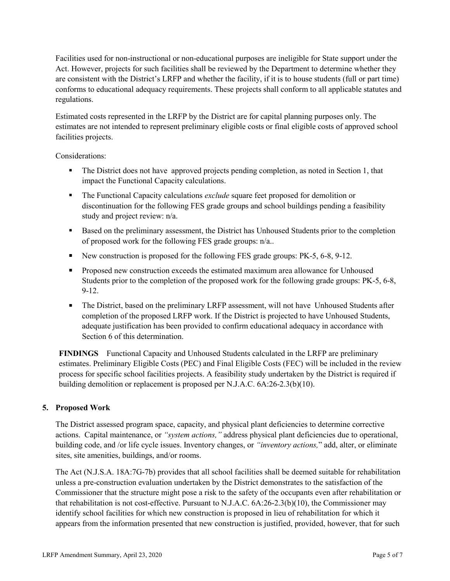Facilities used for non-instructional or non-educational purposes are ineligible for State support under the Act. However, projects for such facilities shall be reviewed by the Department to determine whether they are consistent with the District's LRFP and whether the facility, if it is to house students (full or part time) conforms to educational adequacy requirements. These projects shall conform to all applicable statutes and regulations.

Estimated costs represented in the LRFP by the District are for capital planning purposes only. The estimates are not intended to represent preliminary eligible costs or final eligible costs of approved school facilities projects.

Considerations:

- The District does not have approved projects pending completion, as noted in Section 1, that impact the Functional Capacity calculations.
- The Functional Capacity calculations *exclude* square feet proposed for demolition or discontinuation for the following FES grade groups and school buildings pending a feasibility study and project review: n/a.
- Based on the preliminary assessment, the District has Unhoused Students prior to the completion of proposed work for the following FES grade groups: n/a..
- New construction is proposed for the following FES grade groups: PK-5, 6-8, 9-12.
- **Proposed new construction exceeds the estimated maximum area allowance for Unhoused** Students prior to the completion of the proposed work for the following grade groups: PK-5, 6-8, 9-12.
- The District, based on the preliminary LRFP assessment, will not have Unhoused Students after completion of the proposed LRFP work. If the District is projected to have Unhoused Students, adequate justification has been provided to confirm educational adequacy in accordance with Section 6 of this determination.

**FINDINGS** Functional Capacity and Unhoused Students calculated in the LRFP are preliminary estimates. Preliminary Eligible Costs (PEC) and Final Eligible Costs (FEC) will be included in the review process for specific school facilities projects. A feasibility study undertaken by the District is required if building demolition or replacement is proposed per N.J.A.C. 6A:26-2.3(b)(10).

# **5. Proposed Work**

The District assessed program space, capacity, and physical plant deficiencies to determine corrective actions. Capital maintenance, or *"system actions,"* address physical plant deficiencies due to operational, building code, and /or life cycle issues. Inventory changes, or *"inventory actions,*" add, alter, or eliminate sites, site amenities, buildings, and/or rooms.

The Act (N.J.S.A. 18A:7G-7b) provides that all school facilities shall be deemed suitable for rehabilitation unless a pre-construction evaluation undertaken by the District demonstrates to the satisfaction of the Commissioner that the structure might pose a risk to the safety of the occupants even after rehabilitation or that rehabilitation is not cost-effective. Pursuant to N.J.A.C. 6A:26-2.3(b)(10), the Commissioner may identify school facilities for which new construction is proposed in lieu of rehabilitation for which it appears from the information presented that new construction is justified, provided, however, that for such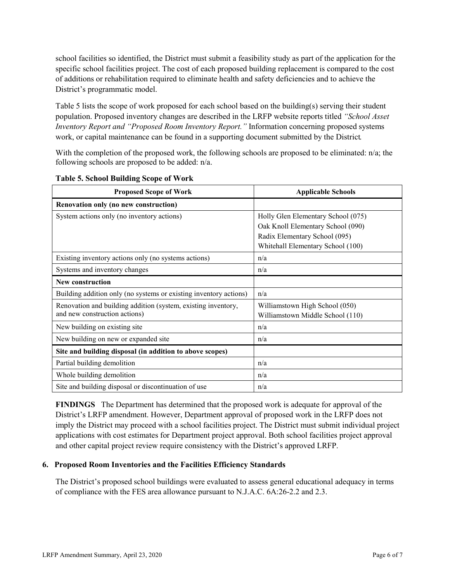school facilities so identified, the District must submit a feasibility study as part of the application for the specific school facilities project. The cost of each proposed building replacement is compared to the cost of additions or rehabilitation required to eliminate health and safety deficiencies and to achieve the District's programmatic model.

Table 5 lists the scope of work proposed for each school based on the building(s) serving their student population. Proposed inventory changes are described in the LRFP website reports titled *"School Asset Inventory Report and "Proposed Room Inventory Report."* Information concerning proposed systems work, or capital maintenance can be found in a supporting document submitted by the District.

With the completion of the proposed work, the following schools are proposed to be eliminated: n/a; the following schools are proposed to be added: n/a.

| <b>Proposed Scope of Work</b>                                     | <b>Applicable Schools</b>          |
|-------------------------------------------------------------------|------------------------------------|
| Renovation only (no new construction)                             |                                    |
| System actions only (no inventory actions)                        | Holly Glen Elementary School (075) |
|                                                                   | Oak Knoll Elementary School (090)  |
|                                                                   | Radix Elementary School (095)      |
|                                                                   | Whitehall Elementary School (100)  |
| Existing inventory actions only (no systems actions)              | n/a                                |
| Systems and inventory changes                                     | n/a                                |
| <b>New construction</b>                                           |                                    |
| Building addition only (no systems or existing inventory actions) | n/a                                |
| Renovation and building addition (system, existing inventory,     | Williamstown High School (050)     |
| and new construction actions)                                     | Williamstown Middle School (110)   |
| New building on existing site                                     | n/a                                |
| New building on new or expanded site                              | n/a                                |
| Site and building disposal (in addition to above scopes)          |                                    |
| Partial building demolition                                       | n/a                                |
| Whole building demolition                                         | n/a                                |
| Site and building disposal or discontinuation of use              | n/a                                |

### **Table 5. School Building Scope of Work**

**FINDINGS** The Department has determined that the proposed work is adequate for approval of the District's LRFP amendment. However, Department approval of proposed work in the LRFP does not imply the District may proceed with a school facilities project. The District must submit individual project applications with cost estimates for Department project approval. Both school facilities project approval and other capital project review require consistency with the District's approved LRFP.

# **6. Proposed Room Inventories and the Facilities Efficiency Standards**

The District's proposed school buildings were evaluated to assess general educational adequacy in terms of compliance with the FES area allowance pursuant to N.J.A.C. 6A:26-2.2 and 2.3.